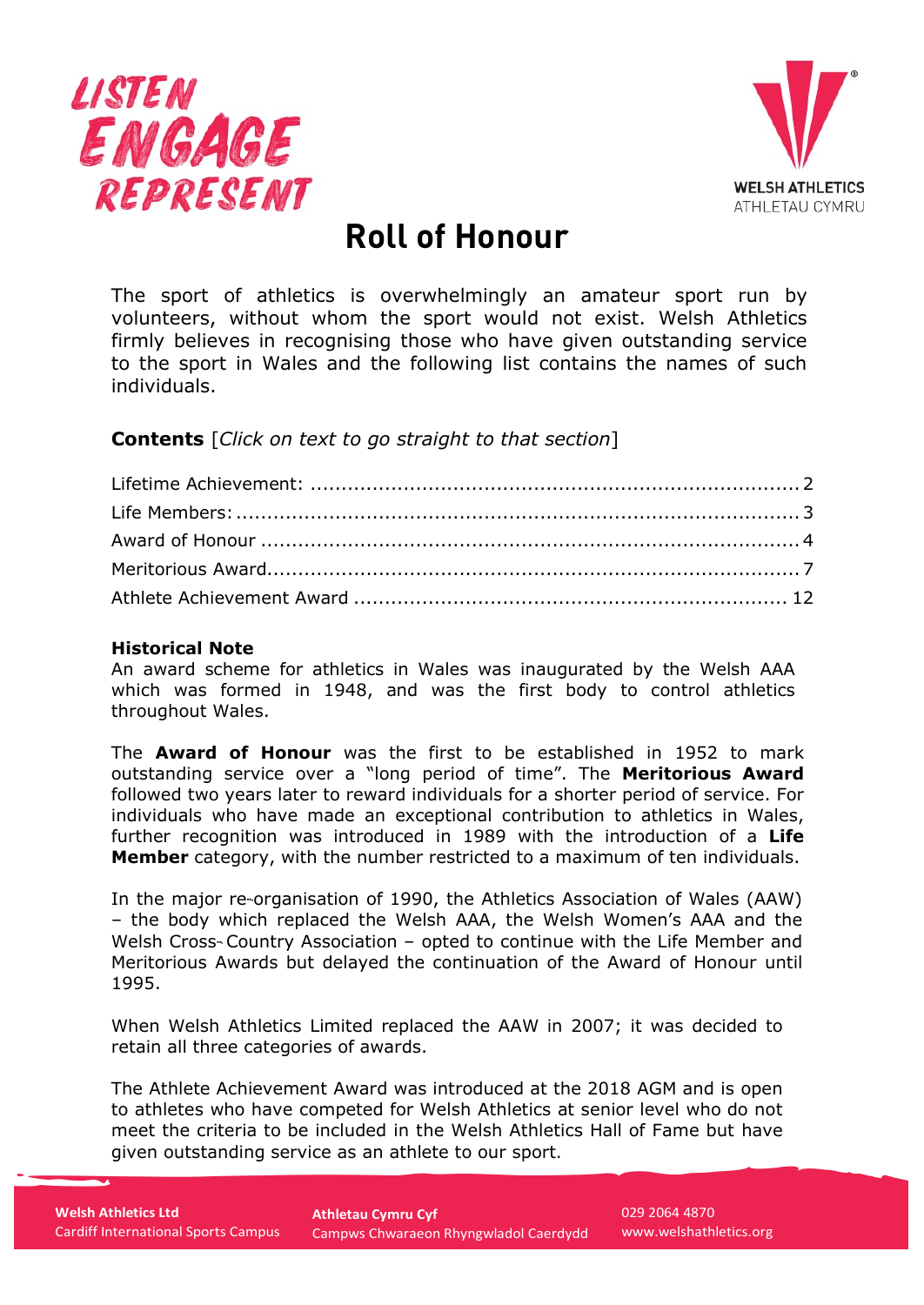



# **Roll of Honour**

<span id="page-0-0"></span>The sport of athletics is overwhelmingly an amateur sport run by volunteers, without whom the sport would not exist. Welsh Athletics firmly believes in recognising those who have given outstanding service to the sport in Wales and the following list contains the names of such individuals.

**Contents** [*Click on text to go straight to that section*]

#### **Historical Note**

An award scheme for athletics in Wales was inaugurated by the Welsh AAA which was formed in 1948, and was the first body to control athletics throughout Wales.

The **Award of Honour** was the first to be established in 1952 to mark outstanding service over a "long period of time". The **Meritorious Award**  followed two years later to reward individuals for a shorter period of service. For individuals who have made an exceptional contribution to athletics in Wales, further recognition was introduced in 1989 with the introduction of a **Life Member** category, with the number restricted to a maximum of ten individuals.

In the major re-organisation of 1990, the Athletics Association of Wales (AAW) – the body which replaced the Welsh AAA, the Welsh Women's AAA and the Welsh Cross-- Country Association – opted to continue with the Life Member and Meritorious Awards but delayed the continuation of the Award of Honour until 1995.

When Welsh Athletics Limited replaced the AAW in 2007; it was decided to retain all three categories of awards.

The Athlete Achievement Award was introduced at the 2018 AGM and is open to athletes who have competed for Welsh Athletics at senior level who do not meet the criteria to be included in the Welsh Athletics Hall of Fame but have given outstanding service as an athlete to our sport.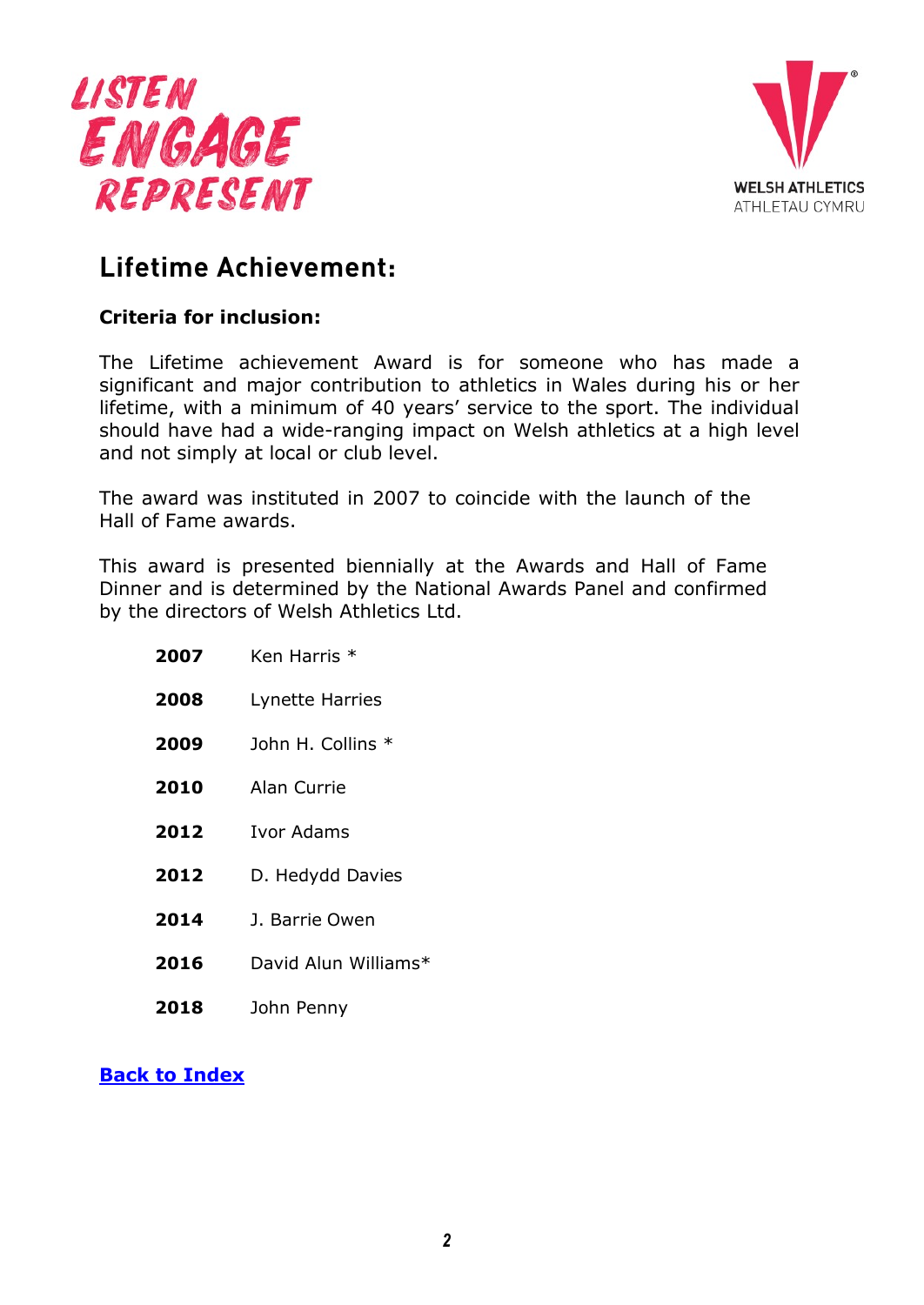



# <span id="page-1-0"></span>**Lifetime Achievement:**

#### **Criteria for inclusion:**

The Lifetime achievement Award is for someone who has made a significant and major contribution to athletics in Wales during his or her lifetime, with a minimum of 40 years' service to the sport. The individual should have had a wide-ranging impact on Welsh athletics at a high level and not simply at local or club level.

The award was instituted in 2007 to coincide with the launch of the Hall of Fame awards.

This award is presented biennially at the Awards and Hall of Fame Dinner and is determined by the National Awards Panel and confirmed by the directors of Welsh Athletics Ltd.

| 2007 | Ken Harris * |  |
|------|--------------|--|
|      |              |  |

- **2008** Lynette Harries
- **2009** John H. Collins \*
- **2010** Alan Currie
- **2012** Ivor Adams
- 2012 D. Hedydd Davies
- **2014** J. Barrie Owen
- **2016** David Alun Williams\*
- **2018** John Penny

#### **[Back to Index](#page-0-0)**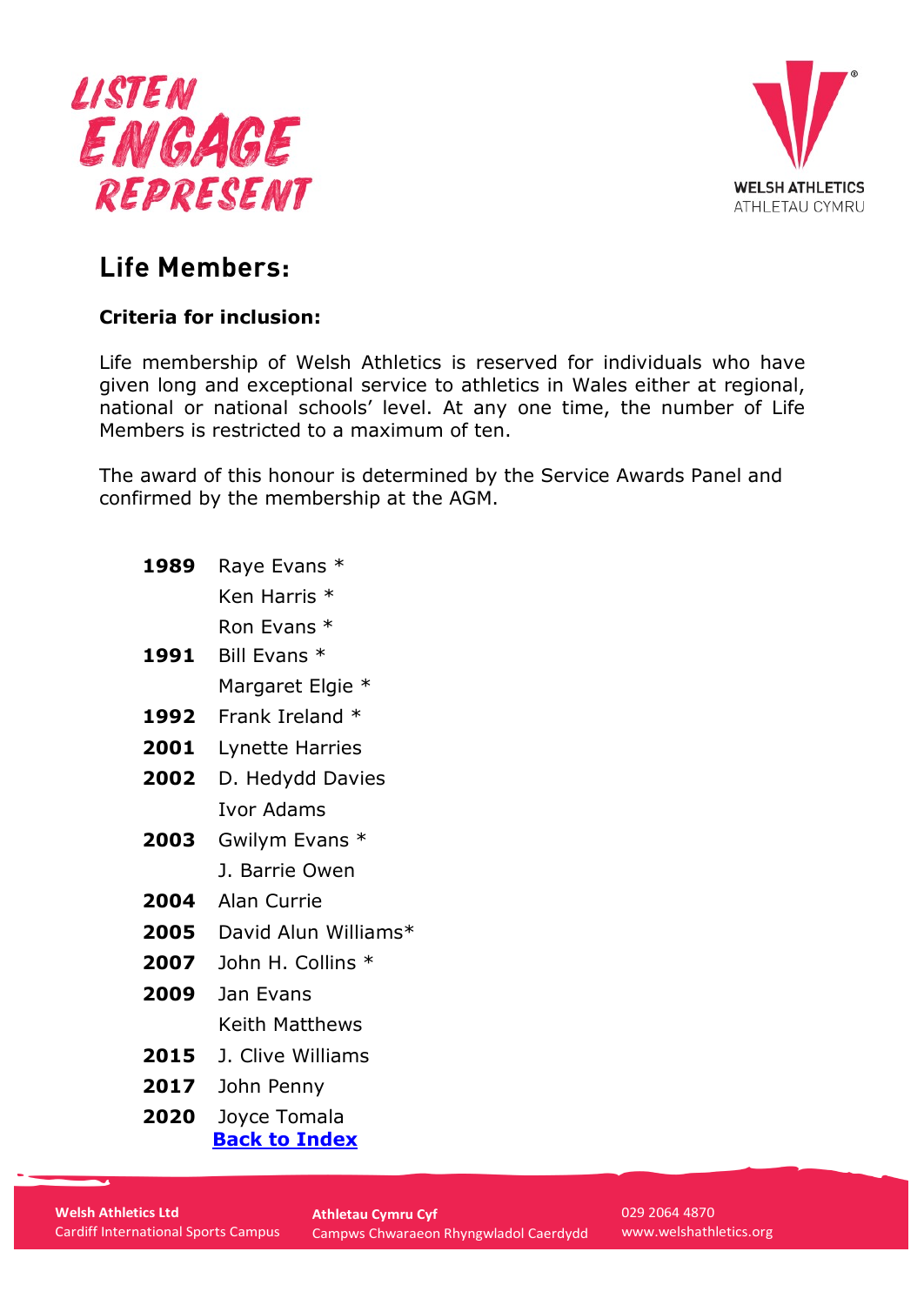



# <span id="page-2-0"></span>**Life Members:**

### **Criteria for inclusion:**

Life membership of Welsh Athletics is reserved for individuals who have given long and exceptional service to athletics in Wales either at regional, national or national schools' level. At any one time, the number of Life Members is restricted to a maximum of ten.

The award of this honour is determined by the Service Awards Panel and confirmed by the membership at the AGM.

**1989** Raye Evans \*

Ken Harris \*

Ron Evans \*

- **1991** Bill Evans \* Margaret Elgie \*
- **1992** Frank Ireland \*
- **2001** Lynette Harries
- **2002** D. Hedydd Davies Ivor Adams
- **2003** Gwilym Evans \* J. Barrie Owen
- **2004** Alan Currie
- **2005** David Alun Williams\*
- **2007** John H. Collins \*
- **2009** Jan Evans Keith Matthews
- **2015** J. Clive Williams
- **2017** John Penny
- **2020** Joyce Tomala **[Back to Index](#page-0-0)**

029 2064 4870 [www.welshathletics.org](http://www.welshathletics.org/)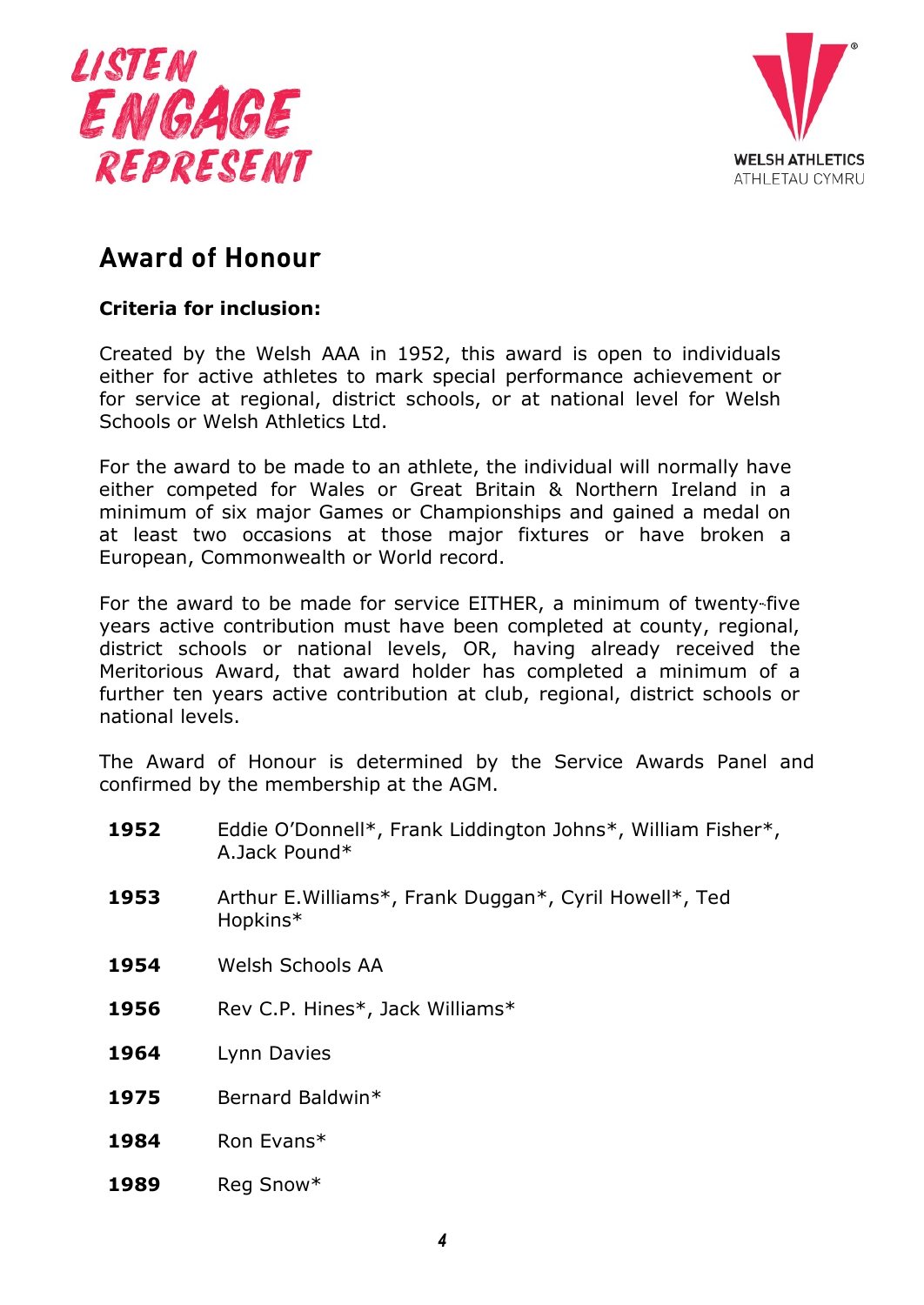



### <span id="page-3-0"></span>**Award of Honour**

#### **Criteria for inclusion:**

Created by the Welsh AAA in 1952, this award is open to individuals either for active athletes to mark special performance achievement or for service at regional, district schools, or at national level for Welsh Schools or Welsh Athletics Ltd.

For the award to be made to an athlete, the individual will normally have either competed for Wales or Great Britain & Northern Ireland in a minimum of six major Games or Championships and gained a medal on at least two occasions at those major fixtures or have broken a European, Commonwealth or World record.

For the award to be made for service EITHER, a minimum of twenty-five years active contribution must have been completed at county, regional, district schools or national levels, OR, having already received the Meritorious Award, that award holder has completed a minimum of a further ten years active contribution at club, regional, district schools or national levels.

The Award of Honour is determined by the Service Awards Panel and confirmed by the membership at the AGM.

- **1952** Eddie O'Donnell\*, Frank Liddington Johns\*, William Fisher\*, A.Jack Pound\*
- **1953** Arthur E.Williams\*, Frank Duggan\*, Cyril Howell\*, Ted Hopkins\*
- **1954** Welsh Schools AA
- **1956** Rev C.P. Hines\*, Jack Williams\*
- **1964** Lynn Davies
- **1975** Bernard Baldwin\*
- **1984** Ron Evans\*
- **1989** Reg Snow\*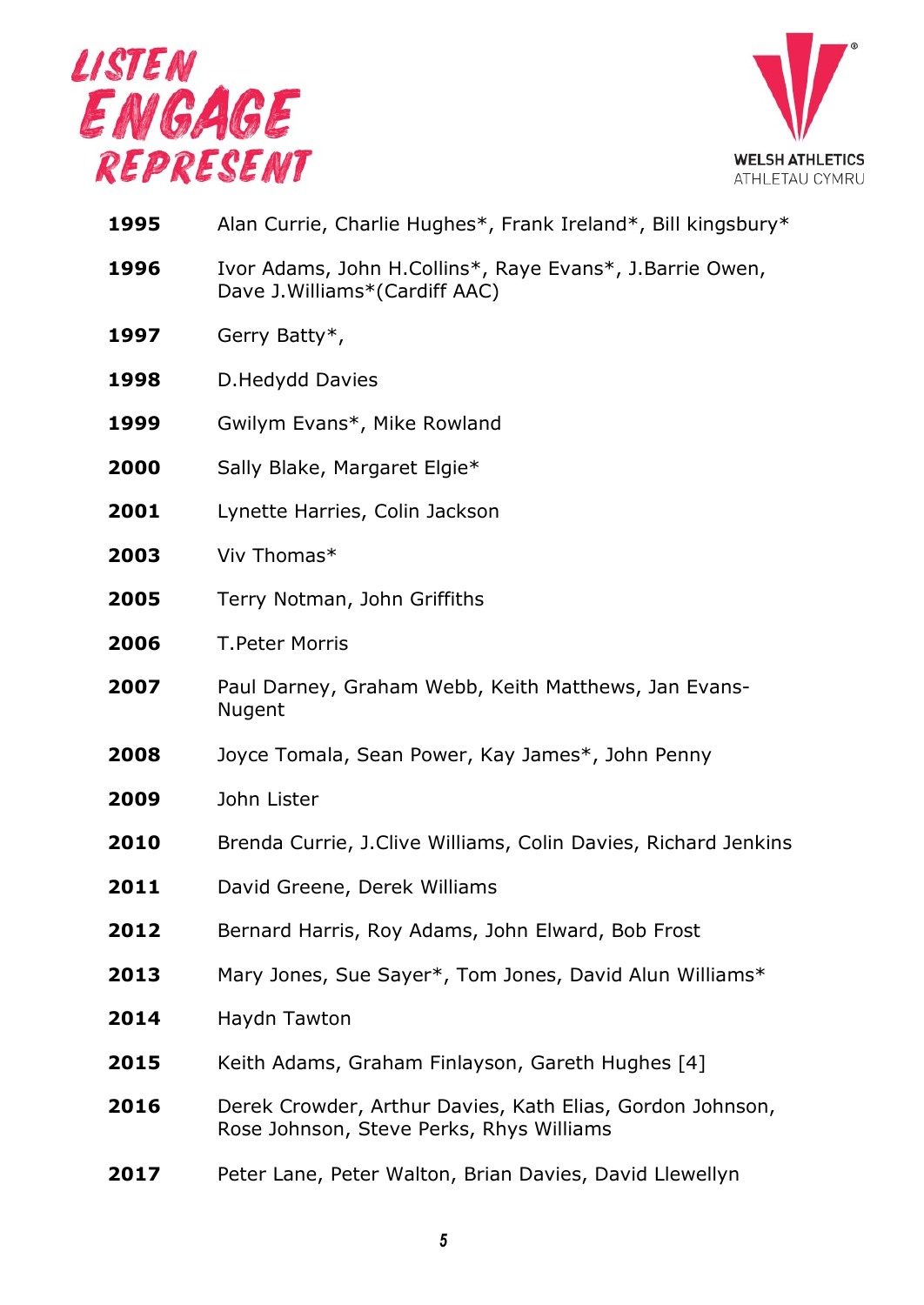



| 1995 | Alan Currie, Charlie Hughes*, Frank Ireland*, Bill kingsbury*                                         |
|------|-------------------------------------------------------------------------------------------------------|
| 1996 | Ivor Adams, John H.Collins*, Raye Evans*, J.Barrie Owen,<br>Dave J. Williams* (Cardiff AAC)           |
| 1997 | Gerry Batty*,                                                                                         |
| 1998 | D.Hedydd Davies                                                                                       |
| 1999 | Gwilym Evans*, Mike Rowland                                                                           |
| 2000 | Sally Blake, Margaret Elgie*                                                                          |
| 2001 | Lynette Harries, Colin Jackson                                                                        |
| 2003 | Viv Thomas*                                                                                           |
| 2005 | Terry Notman, John Griffiths                                                                          |
| 2006 | <b>T.Peter Morris</b>                                                                                 |
| 2007 | Paul Darney, Graham Webb, Keith Matthews, Jan Evans-<br>Nugent                                        |
| 2008 | Joyce Tomala, Sean Power, Kay James*, John Penny                                                      |
| 2009 | John Lister                                                                                           |
| 2010 | Brenda Currie, J.Clive Williams, Colin Davies, Richard Jenkins                                        |
| 2011 | David Greene, Derek Williams                                                                          |
| 2012 | Bernard Harris, Roy Adams, John Elward, Bob Frost                                                     |
| 2013 | Mary Jones, Sue Sayer*, Tom Jones, David Alun Williams*                                               |
| 2014 | Haydn Tawton                                                                                          |
| 2015 | Keith Adams, Graham Finlayson, Gareth Hughes [4]                                                      |
| 2016 | Derek Crowder, Arthur Davies, Kath Elias, Gordon Johnson,<br>Rose Johnson, Steve Perks, Rhys Williams |
| 2017 | Peter Lane, Peter Walton, Brian Davies, David Llewellyn                                               |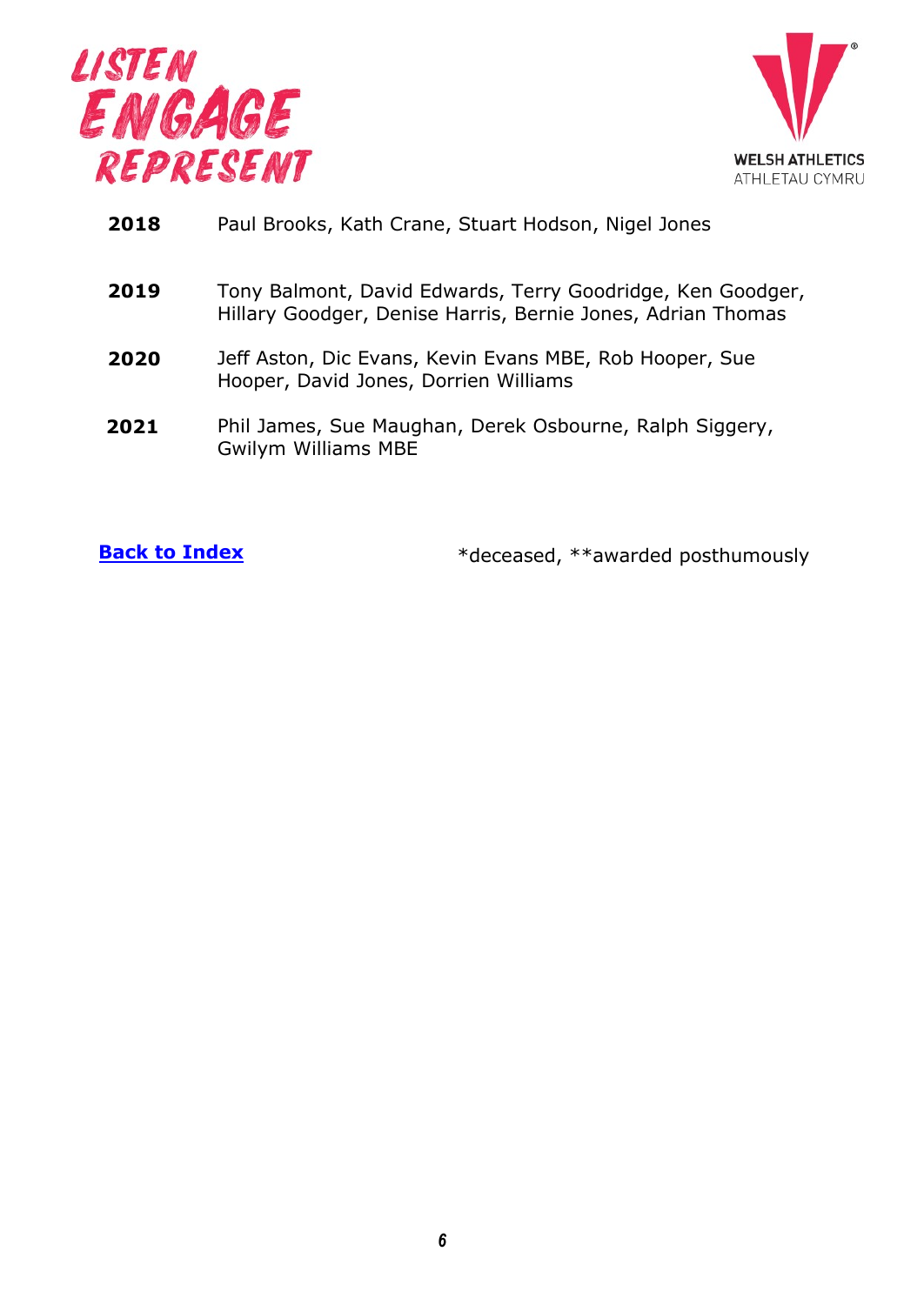



| 2018 |  |  | Paul Brooks, Kath Crane, Stuart Hodson, Nigel Jones |  |
|------|--|--|-----------------------------------------------------|--|
|------|--|--|-----------------------------------------------------|--|

- **2019** Tony Balmont, David Edwards, Terry Goodridge, Ken Goodger, Hillary Goodger, Denise Harris, Bernie Jones, Adrian Thomas
- **2020** Jeff Aston, Dic Evans, Kevin Evans MBE, Rob Hooper, Sue Hooper, David Jones, Dorrien Williams
- Phil James, Sue Maughan, Derek Osbourne, Ralph Siggery, Gwilym Williams MBE **2021**

**Back to Index** \*deceased, \*\*awarded posthumously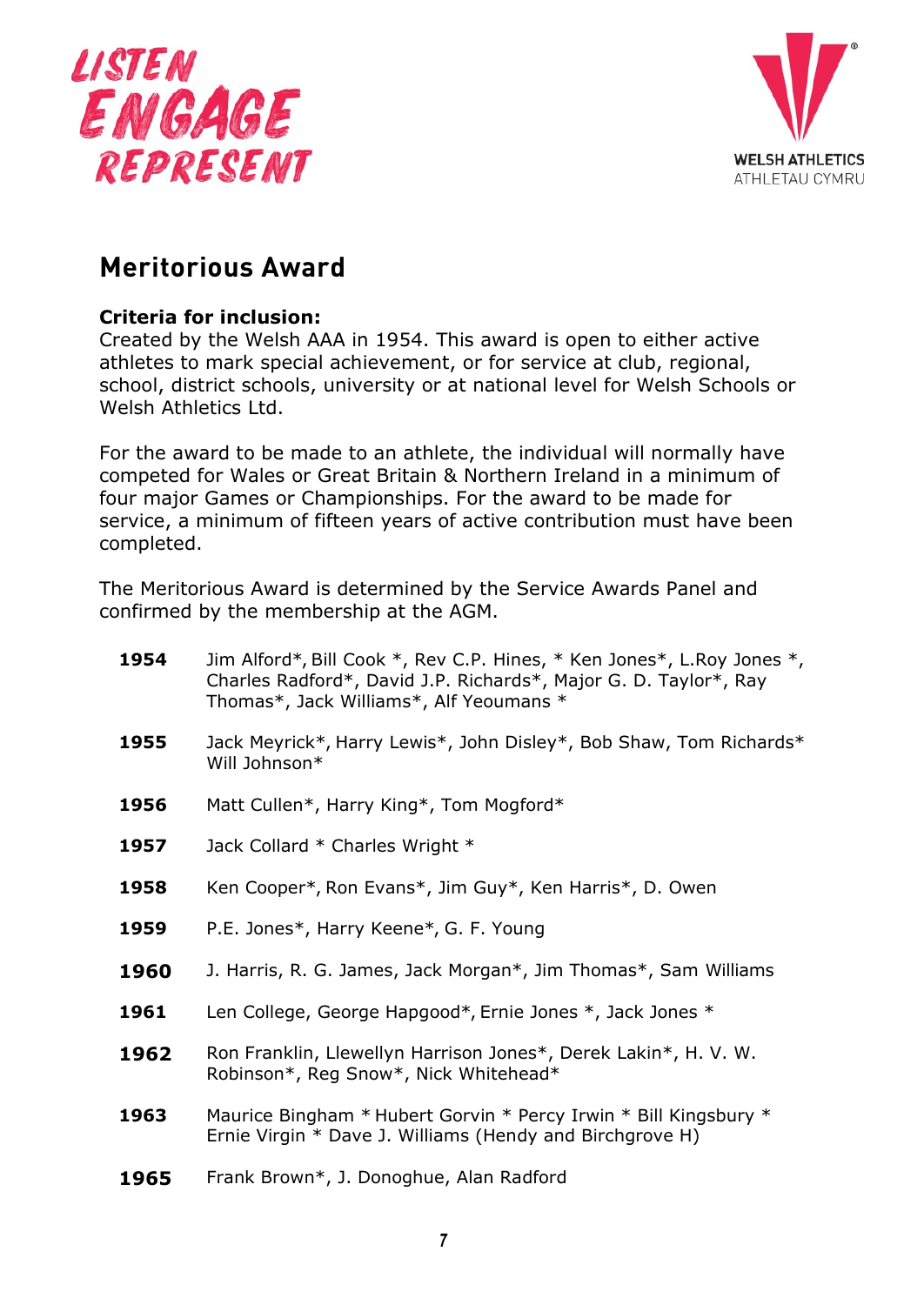



# <span id="page-6-0"></span>**Meritorious Award**

#### **Criteria for inclusion:**

Created by the Welsh AAA in 1954. This award is open to either active athletes to mark special achievement, or for service at club, regional, school, district schools, university or at national level for Welsh Schools or Welsh Athletics Ltd.

For the award to be made to an athlete, the individual will normally have competed for Wales or Great Britain & Northern Ireland in a minimum of four major Games or Championships. For the award to be made for service, a minimum of fifteen years of active contribution must have been completed.

The Meritorious Award is determined by the Service Awards Panel and confirmed by the membership at the AGM.

| 1954 | Jim Alford*, Bill Cook *, Rev C.P. Hines, * Ken Jones*, L.Roy Jones *,<br>Charles Radford*, David J.P. Richards*, Major G. D. Taylor*, Ray<br>Thomas*, Jack Williams*, Alf Yeoumans * |
|------|---------------------------------------------------------------------------------------------------------------------------------------------------------------------------------------|
| 1955 | Jack Meyrick*, Harry Lewis*, John Disley*, Bob Shaw, Tom Richards*<br>Will Johnson*                                                                                                   |
| 1956 | Matt Cullen*, Harry King*, Tom Mogford*                                                                                                                                               |
| 1957 | Jack Collard * Charles Wright *                                                                                                                                                       |
| 1958 | Ken Cooper*, Ron Evans*, Jim Guy*, Ken Harris*, D. Owen                                                                                                                               |
| 1959 | P.E. Jones*, Harry Keene*, G. F. Young                                                                                                                                                |
| 1960 | J. Harris, R. G. James, Jack Morgan*, Jim Thomas*, Sam Williams                                                                                                                       |
| 1961 | Len College, George Hapgood*, Ernie Jones *, Jack Jones *                                                                                                                             |
| 1962 | Ron Franklin, Llewellyn Harrison Jones*, Derek Lakin*, H. V. W.<br>Robinson*, Reg Snow*, Nick Whitehead*                                                                              |
| 1963 | Maurice Bingham * Hubert Gorvin * Percy Irwin * Bill Kingsbury *<br>Ernie Virgin * Dave J. Williams (Hendy and Birchgrove H)                                                          |
| 1965 | Frank Brown*, J. Donoghue, Alan Radford                                                                                                                                               |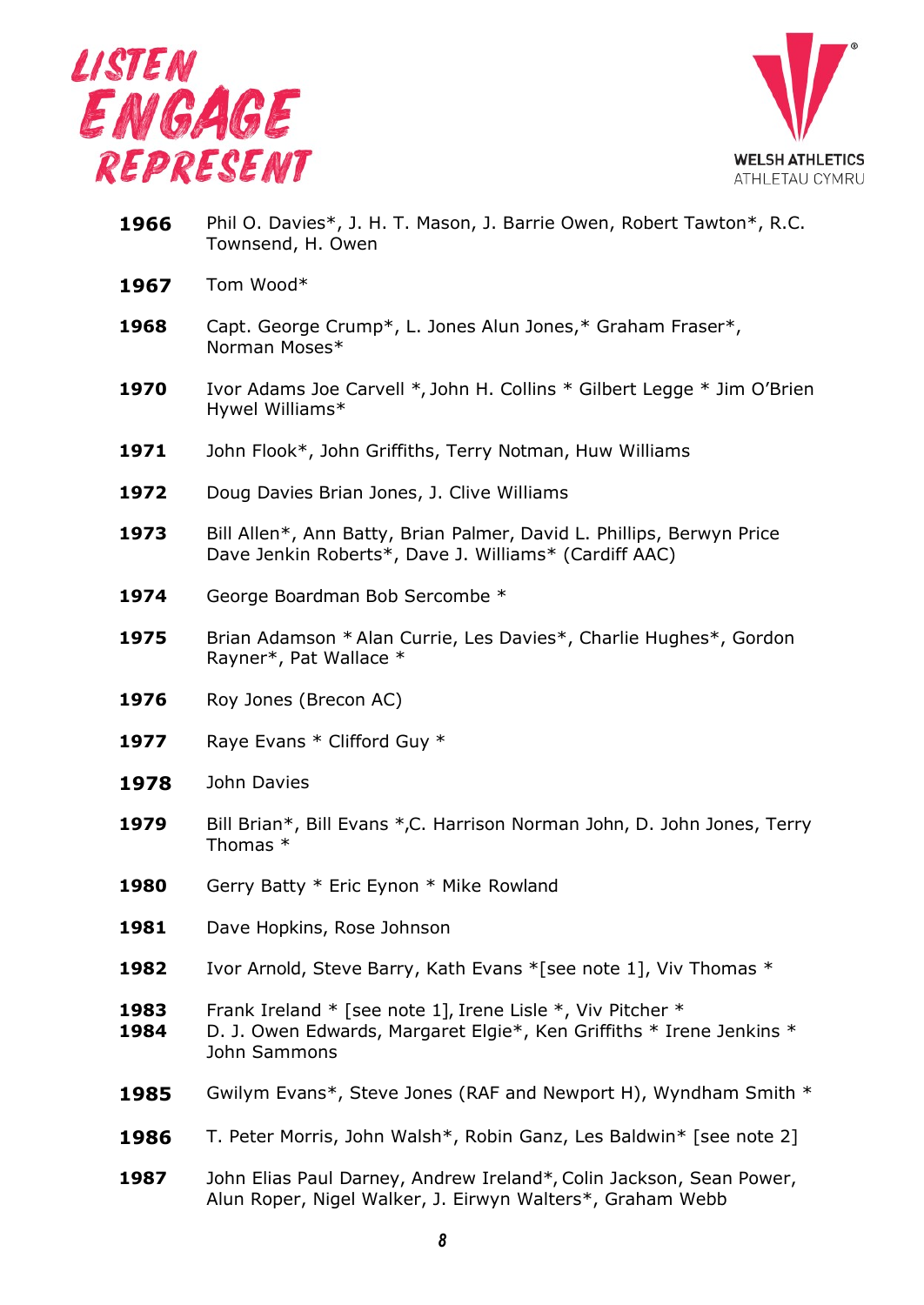



- **1966** Phil O. Davies\*, J. H. T. Mason, J. Barrie Owen, Robert Tawton\*, R.C. Townsend, H. Owen
- **1967** Tom Wood\*
- **1968** Capt. George Crump\*, L. Jones Alun Jones,\* Graham Fraser\*, Norman Moses\*
- **1970** Ivor Adams Joe Carvell \*, John H. Collins \* Gilbert Legge \* Jim O'Brien Hywel Williams\*
- **1971** John Flook\*, John Griffiths, Terry Notman, Huw Williams
- 1972 Doug Davies Brian Jones, J. Clive Williams
- **1973** Bill Allen\*, Ann Batty, Brian Palmer, David L. Phillips, Berwyn Price Dave Jenkin Roberts\*, Dave J. Williams\* (Cardiff AAC)
- 1974 George Boardman Bob Sercombe \*
- **1975** Brian Adamson \* Alan Currie, Les Davies\*, Charlie Hughes\*, Gordon Rayner\*, Pat Wallace \*
- 1976 Roy Jones (Brecon AC)
- 1977 Raye Evans \* Clifford Guy \*
- **1978** John Davies
- **1979** Bill Brian\*, Bill Evans \*,C. Harrison Norman John, D. John Jones, Terry Thomas \*
- **1980** Gerry Batty \* Eric Eynon \* Mike Rowland
- 1981 Dave Hopkins, Rose Johnson
- **1982** Ivor Arnold, Steve Barry, Kath Evans \*[see note 1], Viv Thomas \*
- **1983** Frank Ireland \* [see note 1], Irene Lisle \*, Viv Pitcher \*
- **1984** D. J. Owen Edwards, Margaret Elgie\*, Ken Griffiths \* Irene Jenkins \* John Sammons
- **1985** Gwilym Evans\*, Steve Jones (RAF and Newport H), Wyndham Smith \*
- **1986** T. Peter Morris, John Walsh\*, Robin Ganz, Les Baldwin\* [see note 2]
- **1987** John Elias Paul Darney, Andrew Ireland\*, Colin Jackson, Sean Power, Alun Roper, Nigel Walker, J. Eirwyn Walters\*, Graham Webb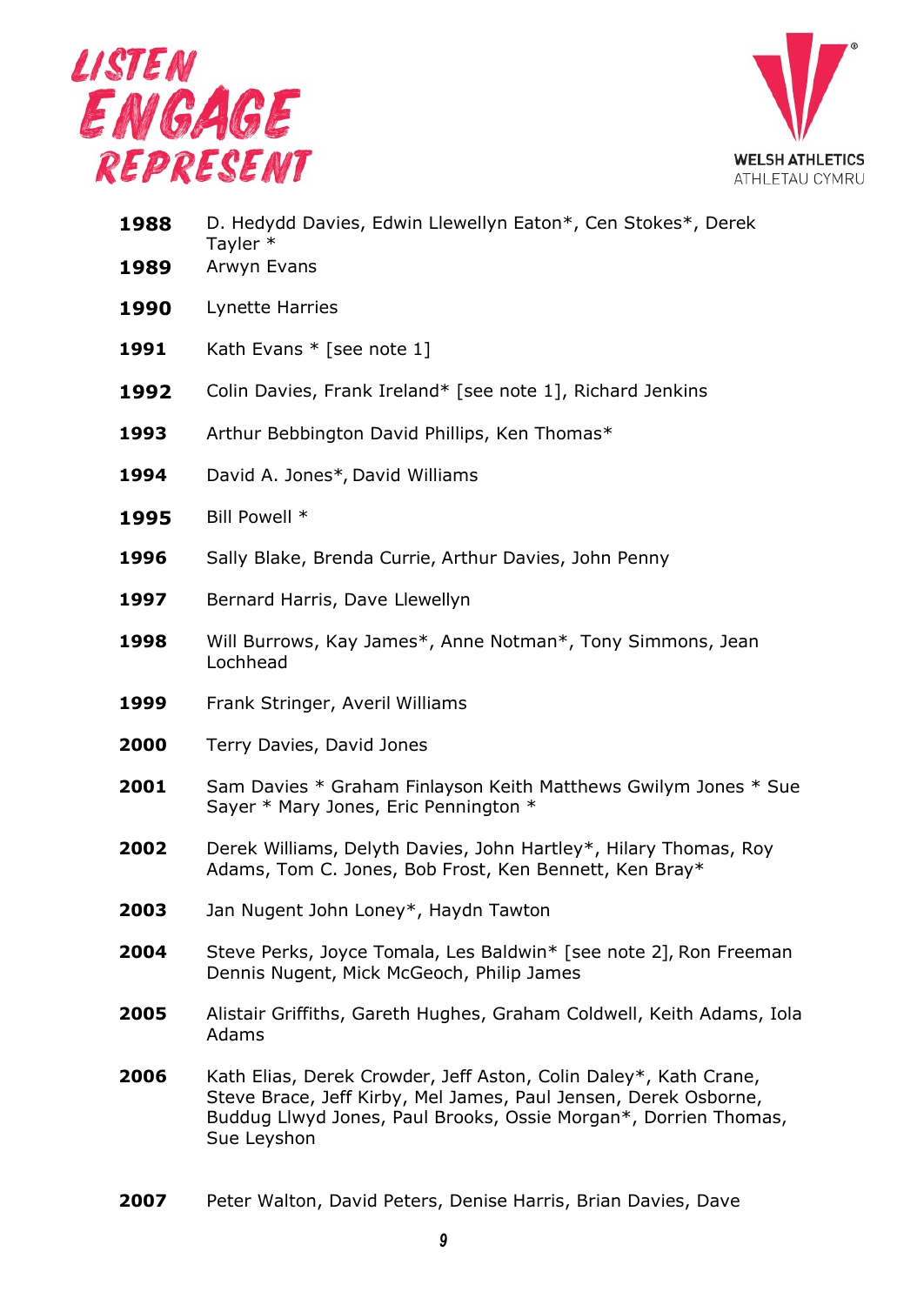



| 1988<br>1989 | D. Hedydd Davies, Edwin Llewellyn Eaton*, Cen Stokes*, Derek<br>Tayler *<br>Arwyn Evans                                                                                                                               |
|--------------|-----------------------------------------------------------------------------------------------------------------------------------------------------------------------------------------------------------------------|
| 1990         | Lynette Harries                                                                                                                                                                                                       |
| 1991         | Kath Evans $*$ [see note 1]                                                                                                                                                                                           |
| 1992         | Colin Davies, Frank Ireland* [see note 1], Richard Jenkins                                                                                                                                                            |
| 1993         | Arthur Bebbington David Phillips, Ken Thomas*                                                                                                                                                                         |
| 1994         | David A. Jones*, David Williams                                                                                                                                                                                       |
| 1995         | Bill Powell *                                                                                                                                                                                                         |
| 1996         | Sally Blake, Brenda Currie, Arthur Davies, John Penny                                                                                                                                                                 |
| 1997         | Bernard Harris, Dave Llewellyn                                                                                                                                                                                        |
| 1998         | Will Burrows, Kay James*, Anne Notman*, Tony Simmons, Jean<br>Lochhead                                                                                                                                                |
| 1999         | Frank Stringer, Averil Williams                                                                                                                                                                                       |
| 2000         | Terry Davies, David Jones                                                                                                                                                                                             |
| 2001         | Sam Davies * Graham Finlayson Keith Matthews Gwilym Jones * Sue<br>Sayer * Mary Jones, Eric Pennington *                                                                                                              |
| 2002         | Derek Williams, Delyth Davies, John Hartley*, Hilary Thomas, Roy<br>Adams, Tom C. Jones, Bob Frost, Ken Bennett, Ken Bray*                                                                                            |
| 2003         | Jan Nugent John Loney*, Haydn Tawton                                                                                                                                                                                  |
| 2004         | Steve Perks, Joyce Tomala, Les Baldwin* [see note 2], Ron Freeman<br>Dennis Nugent, Mick McGeoch, Philip James                                                                                                        |
| 2005         | Alistair Griffiths, Gareth Hughes, Graham Coldwell, Keith Adams, Iola<br>Adams                                                                                                                                        |
| 2006         | Kath Elias, Derek Crowder, Jeff Aston, Colin Daley*, Kath Crane,<br>Steve Brace, Jeff Kirby, Mel James, Paul Jensen, Derek Osborne,<br>Buddug Llwyd Jones, Paul Brooks, Ossie Morgan*, Dorrien Thomas,<br>Sue Leyshon |
|              |                                                                                                                                                                                                                       |

Peter Walton, David Peters, Denise Harris, Brian Davies, Dave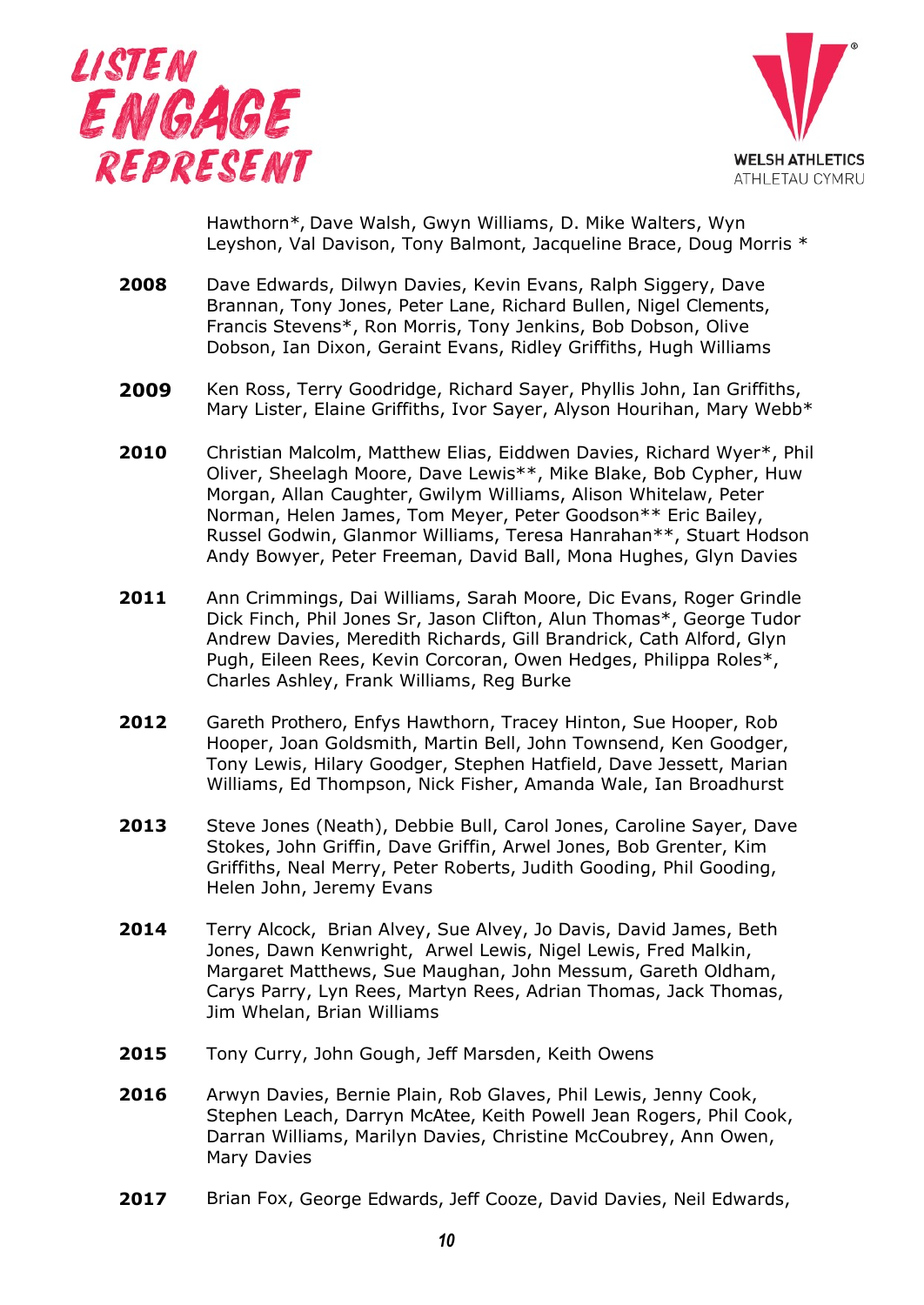



Hawthorn\*, Dave Walsh, Gwyn Williams, D. Mike Walters, Wyn Leyshon, Val Davison, Tony Balmont, Jacqueline Brace, Doug Morris \*

- **2008** Dave Edwards, Dilwyn Davies, Kevin Evans, Ralph Siggery, Dave Brannan, Tony Jones, Peter Lane, Richard Bullen, Nigel Clements, Francis Stevens\*, Ron Morris, Tony Jenkins, Bob Dobson, Olive Dobson, Ian Dixon, Geraint Evans, Ridley Griffiths, Hugh Williams
- **2009** Ken Ross, Terry Goodridge, Richard Sayer, Phyllis John, Ian Griffiths, Mary Lister, Elaine Griffiths, Ivor Sayer, Alyson Hourihan, Mary Webb\*
- **2010** Christian Malcolm, Matthew Elias, Eiddwen Davies, Richard Wyer\*, Phil Oliver, Sheelagh Moore, Dave Lewis\*\*, Mike Blake, Bob Cypher, Huw Morgan, Allan Caughter, Gwilym Williams, Alison Whitelaw, Peter Norman, Helen James, Tom Meyer, Peter Goodson\*\* Eric Bailey, Russel Godwin, Glanmor Williams, Teresa Hanrahan\*\*, Stuart Hodson Andy Bowyer, Peter Freeman, David Ball, Mona Hughes, Glyn Davies
- **2011** Ann Crimmings, Dai Williams, Sarah Moore, Dic Evans, Roger Grindle Dick Finch, Phil Jones Sr, Jason Clifton, Alun Thomas\*, George Tudor Andrew Davies, Meredith Richards, Gill Brandrick, Cath Alford, Glyn Pugh, Eileen Rees, Kevin Corcoran, Owen Hedges, Philippa Roles\*, Charles Ashley, Frank Williams, Reg Burke
- **2012** Gareth Prothero, Enfys Hawthorn, Tracey Hinton, Sue Hooper, Rob Hooper, Joan Goldsmith, Martin Bell, John Townsend, Ken Goodger, Tony Lewis, Hilary Goodger, Stephen Hatfield, Dave Jessett, Marian Williams, Ed Thompson, Nick Fisher, Amanda Wale, Ian Broadhurst
- **2013** Steve Jones (Neath), Debbie Bull, Carol Jones, Caroline Sayer, Dave Stokes, John Griffin, Dave Griffin, Arwel Jones, Bob Grenter, Kim Griffiths, Neal Merry, Peter Roberts, Judith Gooding, Phil Gooding, Helen John, Jeremy Evans
- **2014** Terry Alcock, Brian Alvey, Sue Alvey, Jo Davis, David James, Beth Jones, Dawn Kenwright, Arwel Lewis, Nigel Lewis, Fred Malkin, Margaret Matthews, Sue Maughan, John Messum, Gareth Oldham, Carys Parry, Lyn Rees, Martyn Rees, Adrian Thomas, Jack Thomas, Jim Whelan, Brian Williams
- **2015** Tony Curry, John Gough, Jeff Marsden, Keith Owens
- **2016** Arwyn Davies, Bernie Plain, Rob Glaves, Phil Lewis, Jenny Cook, Stephen Leach, Darryn McAtee, Keith Powell Jean Rogers, Phil Cook, Darran Williams, Marilyn Davies, Christine McCoubrey, Ann Owen, Mary Davies
- **2017** Brian Fox, George Edwards, Jeff Cooze, David Davies, Neil Edwards,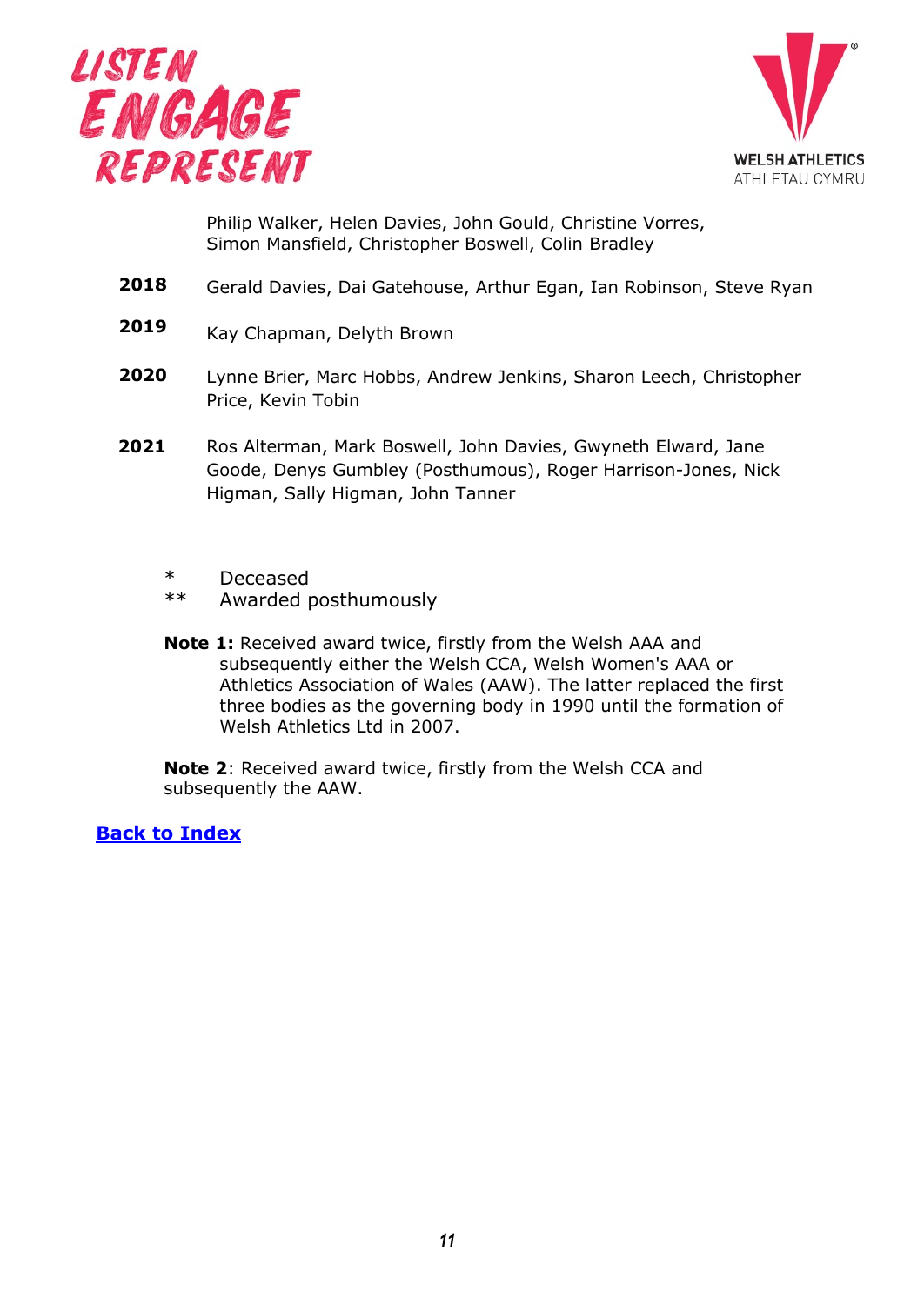



Philip Walker, Helen Davies, John Gould, Christine Vorres, Simon Mansfield, Christopher Boswell, Colin Bradley

- **2018** Gerald Davies, Dai Gatehouse, Arthur Egan, Ian Robinson, Steve Ryan
- **2019**  Kay Chapman, Delyth Brown
- **2020** Lynne Brier, Marc Hobbs, Andrew Jenkins, Sharon Leech, Christopher Price, Kevin Tobin
- Ros Alterman, Mark Boswell, John Davies, Gwyneth Elward, Jane Goode, Denys Gumbley (Posthumous), Roger Harrison-Jones, Nick Higman, Sally Higman, John Tanner **2021**
	- \* Deceased<br>\*\* Awarded
	- Awarded posthumously
	- **Note 1:** Received award twice, firstly from the Welsh AAA and subsequently either the Welsh CCA, Welsh Women's AAA or Athletics Association of Wales (AAW). The latter replaced the first [thre](#page-0-0)e bodies as the governing body in 1990 until the formation of Welsh Athletics Ltd in 2007.

<span id="page-10-0"></span>**Note 2**: Received award twice, firstly from the Welsh CCA and subsequently the AAW.

**Back to Index**